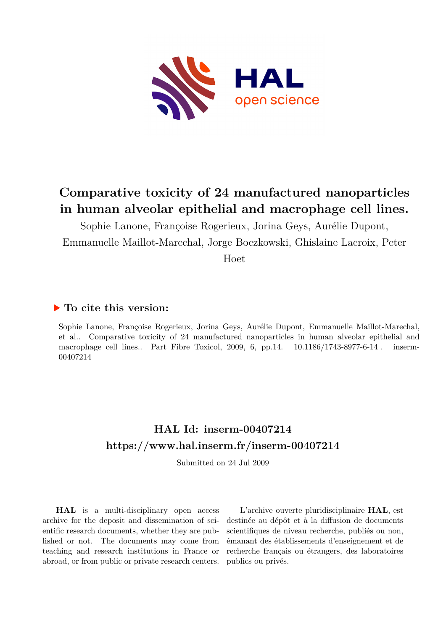

# **Comparative toxicity of 24 manufactured nanoparticles in human alveolar epithelial and macrophage cell lines.**

Sophie Lanone, Françoise Rogerieux, Jorina Geys, Aurélie Dupont, Emmanuelle Maillot-Marechal, Jorge Boczkowski, Ghislaine Lacroix, Peter

Hoet

# **To cite this version:**

Sophie Lanone, Françoise Rogerieux, Jorina Geys, Aurélie Dupont, Emmanuelle Maillot-Marechal, et al.. Comparative toxicity of 24 manufactured nanoparticles in human alveolar epithelial and macrophage cell lines.. Part Fibre Toxicol, 2009, 6, pp.14.  $10.1186/1743-8977-6-14$ . inserm-00407214ff

# **HAL Id: inserm-00407214 <https://www.hal.inserm.fr/inserm-00407214>**

Submitted on 24 Jul 2009

**HAL** is a multi-disciplinary open access archive for the deposit and dissemination of scientific research documents, whether they are published or not. The documents may come from teaching and research institutions in France or abroad, or from public or private research centers.

L'archive ouverte pluridisciplinaire **HAL**, est destinée au dépôt et à la diffusion de documents scientifiques de niveau recherche, publiés ou non, émanant des établissements d'enseignement et de recherche français ou étrangers, des laboratoires publics ou privés.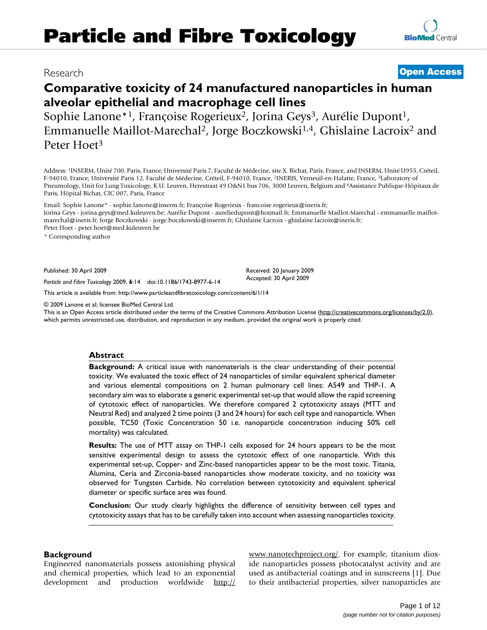# **Comparative toxicity of 24 manufactured nanoparticles in human alveolar epithelial and macrophage cell lines**

Sophie Lanone<sup>\*1</sup>, Françoise Rogerieux<sup>2</sup>, Jorina Geys<sup>3</sup>, Aurélie Dupont<sup>1</sup>, Emmanuelle Maillot-Marechal2, Jorge Boczkowski1,4, Ghislaine Lacroix2 and Peter Hoet3

Address: 1INSERM, Unité 700, Paris, France; Université Paris 7, Faculté de Médecine, site X. Bichat, Paris, France, and INSERM, Unité U955, Créteil, F-94010, France; Université Paris 12, Faculté de Médecine, Créteil, F-94010, France, 2INERIS, Verneuil-en-Halatte, France, 3Laboratory of Pneumology, Unit for Lung Toxicology, K.U. Leuven, Herestraat 49 O&N1 bus 706, 3000 Leuven, Belgium and 4Assistance Publique-Hôpitaux de Paris, Hôpital Bichat, CIC 007, Paris, France

Email: Sophie Lanone\* - sophie.lanone@inserm.fr; Françoise Rogerieux - francoise.rogerieux@ineris.fr; Jorina Geys - jorina.geys@med.kuleuven.be; Aurélie Dupont - aureliedupont@hotmail.fr; Emmanuelle Maillot-Marechal - emmanuelle.maillotmarechal@ineris.fr; Jorge Boczkowski - jorge.boczkowski@inserm.fr; Ghislaine Lacroix - ghislaine.lacroix@ineris.fr; Peter Hoet - peter.hoet@med.kuleuven.be

\* Corresponding author

Published: 30 April 2009

*Particle and Fibre Toxicology* 2009, **6**:14 doi:10.1186/1743-8977-6-14

[This article is available from: http://www.particleandfibretoxicology.com/content/6/1/14](http://www.particleandfibretoxicology.com/content/6/1/14)

© 2009 Lanone et al; licensee BioMed Central Ltd.

This is an Open Access article distributed under the terms of the Creative Commons Attribution License [\(http://creativecommons.org/licenses/by/2.0\)](http://creativecommons.org/licenses/by/2.0), which permits unrestricted use, distribution, and reproduction in any medium, provided the original work is properly cited.

## **Abstract**

**Background:** A critical issue with nanomaterials is the clear understanding of their potential toxicity. We evaluated the toxic effect of 24 nanoparticles of similar equivalent spherical diameter and various elemental compositions on 2 human pulmonary cell lines: A549 and THP-1. A secondary aim was to elaborate a generic experimental set-up that would allow the rapid screening of cytotoxic effect of nanoparticles. We therefore compared 2 cytotoxicity assays (MTT and Neutral Red) and analyzed 2 time points (3 and 24 hours) for each cell type and nanoparticle. When possible, TC50 (Toxic Concentration 50 i.e. nanoparticle concentration inducing 50% cell mortality) was calculated.

**Results:** The use of MTT assay on THP-1 cells exposed for 24 hours appears to be the most sensitive experimental design to assess the cytotoxic effect of one nanoparticle. With this experimental set-up, Copper- and Zinc-based nanoparticles appear to be the most toxic. Titania, Alumina, Ceria and Zirconia-based nanoparticles show moderate toxicity, and no toxicity was observed for Tungsten Carbide. No correlation between cytotoxicity and equivalent spherical diameter or specific surface area was found.

**Conclusion:** Our study clearly highlights the difference of sensitivity between cell types and cytotoxicity assays that has to be carefully taken into account when assessing nanoparticles toxicity.

## **Background**

Engineered nanomaterials possess astonishing physical and chemical properties, which lead to an exponential development and production worldwide [http://](http://www.nanotechproject.org/) [www.nanotechproject.org/](http://www.nanotechproject.org/). For example, titanium dioxide nanoparticles possess photocatalyst activity and are used as antibacterial coatings and in sunscreens [1]. Due to their antibacterial properties, silver nanoparticles are

# Research **[Open Access](http://www.biomedcentral.com/info/about/charter/)**

Received: 20 January 2009 Accepted: 30 April 2009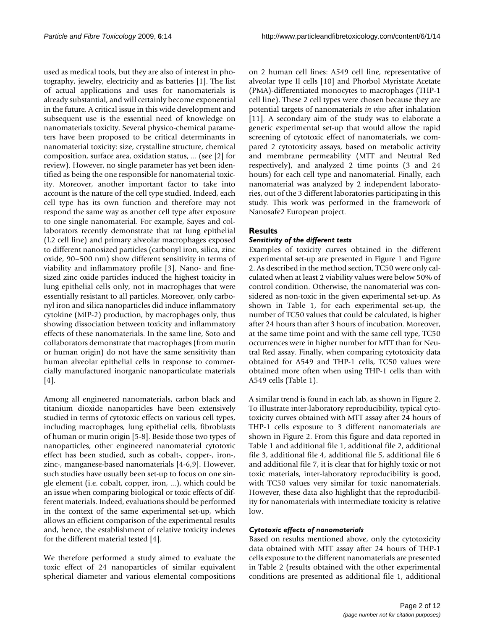used as medical tools, but they are also of interest in photography, jewelry, electricity and as batteries [1]. The list of actual applications and uses for nanomaterials is already substantial, and will certainly become exponential in the future. A critical issue in this wide development and subsequent use is the essential need of knowledge on nanomaterials toxicity. Several physico-chemical parameters have been proposed to be critical determinants in nanomaterial toxicity: size, crystalline structure, chemical composition, surface area, oxidation status, ... (see [2] for review). However, no single parameter has yet been identified as being the one responsible for nanomaterial toxicity. Moreover, another important factor to take into account is the nature of the cell type studied. Indeed, each cell type has its own function and therefore may not respond the same way as another cell type after exposure to one single nanomaterial. For example, Sayes and collaborators recently demonstrate that rat lung epithelial (L2 cell line) and primary alveolar macrophages exposed to different nanosized particles (carbonyl iron, silica, zinc oxide, 90–500 nm) show different sensitivity in terms of viability and inflammatory profile [3]. Nano- and finesized zinc oxide particles induced the highest toxicity in lung epithelial cells only, not in macrophages that were essentially resistant to all particles. Moreover, only carbonyl iron and silica nanoparticles did induce inflammatory cytokine (MIP-2) production, by macrophages only, thus showing dissociation between toxicity and inflammatory effects of these nanomaterials. In the same line, Soto and collaborators demonstrate that macrophages (from murin or human origin) do not have the same sensitivity than human alveolar epithelial cells in response to commercially manufactured inorganic nanoparticulate materials [4].

Among all engineered nanomaterials, carbon black and titanium dioxide nanoparticles have been extensively studied in terms of cytotoxic effects on various cell types, including macrophages, lung epithelial cells, fibroblasts of human or murin origin [5-8]. Beside those two types of nanoparticles, other engineered nanomaterial cytotoxic effect has been studied, such as cobalt-, copper-, iron-, zinc-, manganese-based nanomaterials [4-6,9]. However, such studies have usually been set-up to focus on one single element (i.e. cobalt, copper, iron, ...), which could be an issue when comparing biological or toxic effects of different materials. Indeed, evaluations should be performed in the context of the same experimental set-up, which allows an efficient comparison of the experimental results and, hence, the establishment of relative toxicity indexes for the different material tested [4].

We therefore performed a study aimed to evaluate the toxic effect of 24 nanoparticles of similar equivalent spherical diameter and various elemental compositions

on 2 human cell lines: A549 cell line, representative of alveolar type II cells [10] and Phorbol Myristate Acetate (PMA)-differentiated monocytes to macrophages (THP-1 cell line). These 2 cell types were chosen because they are potential targets of nanomaterials *in vivo* after inhalation [11]. A secondary aim of the study was to elaborate a generic experimental set-up that would allow the rapid screening of cytotoxic effect of nanomaterials, we compared 2 cytotoxicity assays, based on metabolic activity and membrane permeability (MTT and Neutral Red respectively), and analyzed 2 time points (3 and 24 hours) for each cell type and nanomaterial. Finally, each nanomaterial was analyzed by 2 independent laboratories, out of the 3 different laboratories participating in this study. This work was performed in the framework of Nanosafe2 European project.

# **Results**

# *Sensitivity of the different tests*

Examples of toxicity curves obtained in the different experimental set-up are presented in Figure 1 and Figure 2. As described in the method section, TC50 were only calculated when at least 2 viability values were below 50% of control condition. Otherwise, the nanomaterial was considered as non-toxic in the given experimental set-up. As shown in Table 1, for each experimental set-up, the number of TC50 values that could be calculated, is higher after 24 hours than after 3 hours of incubation. Moreover, at the same time point and with the same cell type, TC50 occurrences were in higher number for MTT than for Neutral Red assay. Finally, when comparing cytotoxicity data obtained for A549 and THP-1 cells, TC50 values were obtained more often when using THP-1 cells than with A549 cells (Table 1).

A similar trend is found in each lab, as shown in Figure 2. To illustrate inter-laboratory reproducibility, typical cytotoxicity curves obtained with MTT assay after 24 hours of THP-1 cells exposure to 3 different nanomaterials are shown in Figure 2. From this figure and data reported in Table 1 and additional file 1, additional file 2, additional file 3, additional file 4, additional file 5, additional file 6 and additional file 7, it is clear that for highly toxic or not toxic materials, inter-laboratory reproducibility is good, with TC50 values very similar for toxic nanomaterials. However, these data also highlight that the reproducibility for nanomaterials with intermediate toxicity is relative low.

# *Cytotoxic effects of nanomaterials*

Based on results mentioned above, only the cytotoxicity data obtained with MTT assay after 24 hours of THP-1 cells exposure to the different nanomaterials are presented in Table 2 (results obtained with the other experimental conditions are presented as additional file 1, additional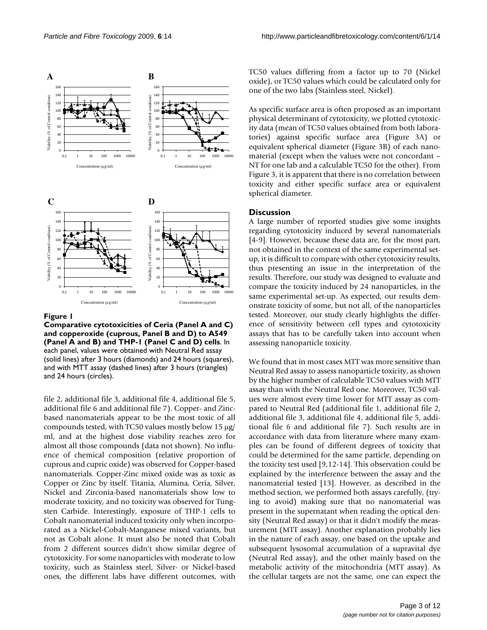

#### Figure 1

**Comparative cytotoxicities of Ceria (Panel A and C) and copperoxide (cuprous, Panel B and D) to A549 (Panel A and B) and THP-1 (Panel C and D) cells**. In each panel, values were obtained with Neutral Red assay (solid lines) after 3 hours (diamonds) and 24 hours (squares), and with MTT assay (dashed lines) after 3 hours (triangles) and 24 hours (circles).

file 2, additional file 3, additional file 4, additional file 5, additional file 6 and additional file 7). Copper- and Zincbased nanomaterials appear to be the most toxic of all compounds tested, with TC50 values mostly below 15 μg/ ml, and at the highest dose viability reaches zero for almost all those compounds (data not shown). No influence of chemical composition (relative proportion of cuprous and cupric oxide) was observed for Copper-based nanomaterials. Copper-Zinc mixed oxide was as toxic as Copper or Zinc by itself. Titania, Alumina, Ceria, Silver, Nickel and Zirconia-based nanomaterials show low to moderate toxicity, and no toxicity was observed for Tungsten Carbide. Interestingly, exposure of THP-1 cells to Cobalt nanomaterial induced toxicity only when incorporated as a Nickel-Cobalt-Manganese mixed variants, but not as Cobalt alone. It must also be noted that Cobalt from 2 different sources didn't show similar degree of cytotoxicity. For some nanoparticles with moderate to low toxicity, such as Stainless steel, Silver- or Nickel-based ones, the different labs have different outcomes, with TC50 values differing from a factor up to 70 (Nickel oxide), or TC50 values which could be calculated only for one of the two labs (Stainless steel, Nickel).

As specific surface area is often proposed as an important physical determinant of cytotoxicity, we plotted cytotoxicity data (mean of TC50 values obtained from both laboratories) against specific surface area (Figure 3A) or equivalent spherical diameter (Figure 3B) of each nanomaterial (except when the values were not concordant – NT for one lab and a calculable TC50 for the other). From Figure 3, it is apparent that there is no correlation between toxicity and either specific surface area or equivalent spherical diameter.

## **Discussion**

A large number of reported studies give some insights regarding cytotoxicity induced by several nanomaterials [4-9]. However, because these data are, for the most part, not obtained in the context of the same experimental setup, it is difficult to compare with other cytotoxicity results, thus presenting an issue in the interpretation of the results. Therefore, our study was designed to evaluate and compare the toxicity induced by 24 nanoparticles, in the same experimental set-up. As expected, our results demonstrate toxicity of some, but not all, of the nanoparticles tested. Moreover, our study clearly highlights the difference of sensitivity between cell types and cytotoxicity assays that has to be carefully taken into account when assessing nanoparticle toxicity.

We found that in most cases MTT was more sensitive than Neutral Red assay to assess nanoparticle toxicity, as shown by the higher number of calculable TC50 values with MTT assay than with the Neutral Red one. Moreover, TC50 values were almost every time lower for MTT assay as compared to Neutral Red (additional file 1, additional file 2, additional file 3, additional file 4, additional file 5, additional file 6 and additional file 7). Such results are in accordance with data from literature where many examples can be found of different degrees of toxicity that could be determined for the same particle, depending on the toxicity test used [9,12-14]. This observation could be explained by the interference between the assay and the nanomaterial tested [13]. However, as described in the method section, we performed both assays carefully, (trying to avoid) making sure that no nanomaterial was present in the supernatant when reading the optical density (Neutral Red assay) or that it didn't modify the measurement (MTT assay). Another explanation probably lies in the nature of each assay, one based on the uptake and subsequent lysosomal accumulation of a supravital dye (Neutral Red assay), and the other mainly based on the metabolic activity of the mitochondria (MTT assay). As the cellular targets are not the same, one can expect the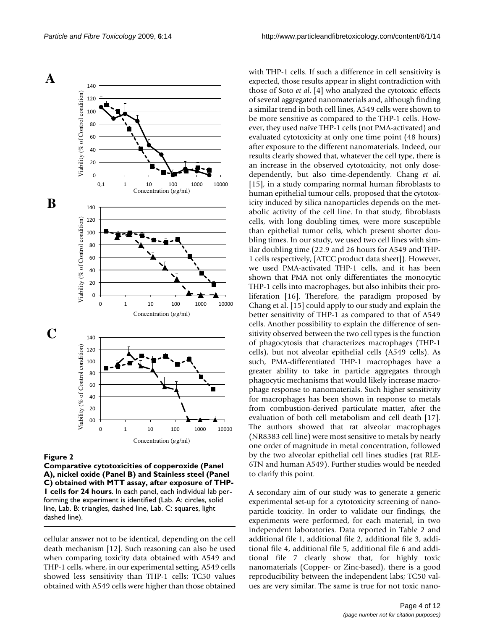

#### Figure 2

**Comparative cytotoxicities of copperoxide (Panel A), nickel oxide (Panel B) and Stainless steel (Panel C) obtained with MTT assay, after exposure of THP-1 cells for 24 hours**. In each panel, each individual lab performing the experiment is identified (Lab. A: circles, solid line, Lab. B: triangles, dashed line, Lab. C: squares, light dashed line).

cellular answer not to be identical, depending on the cell death mechanism [12]. Such reasoning can also be used when comparing toxicity data obtained with A549 and THP-1 cells, where, in our experimental setting, A549 cells showed less sensitivity than THP-1 cells; TC50 values obtained with A549 cells were higher than those obtained with THP-1 cells. If such a difference in cell sensitivity is expected, those results appear in slight contradiction with those of Soto *et al*. [4] who analyzed the cytotoxic effects of several aggregated nanomaterials and, although finding a similar trend in both cell lines, A549 cells were shown to be more sensitive as compared to the THP-1 cells. However, they used naïve THP-1 cells (not PMA-activated) and evaluated cytotoxicity at only one time point (48 hours) after exposure to the different nanomaterials. Indeed, our results clearly showed that, whatever the cell type, there is an increase in the observed cytotoxicity, not only dosedependently, but also time-dependently. Chang *et al*. [15], in a study comparing normal human fibroblasts to human epithelial tumour cells, proposed that the cytotoxicity induced by silica nanoparticles depends on the metabolic activity of the cell line. In that study, fibroblasts cells, with long doubling times, were more susceptible than epithelial tumor cells, which present shorter doubling times. In our study, we used two cell lines with similar doubling time (22.9 and 26 hours for A549 and THP-1 cells respectively, [ATCC product data sheet]). However, we used PMA-activated THP-1 cells, and it has been shown that PMA not only differentiates the monocytic THP-1 cells into macrophages, but also inhibits their proliferation [16]. Therefore, the paradigm proposed by Chang et al. [15] could apply to our study and explain the better sensitivity of THP-1 as compared to that of A549 cells. Another possibility to explain the difference of sensitivity observed between the two cell types is the function of phagocytosis that characterizes macrophages (THP-1 cells), but not alveolar epithelial cells (A549 cells). As such, PMA-differentiated THP-1 macrophages have a greater ability to take in particle aggregates through phagocytic mechanisms that would likely increase macrophage response to nanomaterials. Such higher sensitivity for macrophages has been shown in response to metals from combustion-derived particulate matter, after the evaluation of both cell metabolism and cell death [17]. The authors showed that rat alveolar macrophages (NR8383 cell line) were most sensitive to metals by nearly one order of magnitude in metal concentration, followed by the two alveolar epithelial cell lines studies (rat RLE-6TN and human A549). Further studies would be needed to clarify this point.

A secondary aim of our study was to generate a generic experimental set-up for a cytotoxicity screening of nanoparticle toxicity. In order to validate our findings, the experiments were performed, for each material, in two independent laboratories. Data reported in Table 2 and additional file 1, additional file 2, additional file 3, additional file 4, additional file 5, additional file 6 and additional file 7 clearly show that, for highly toxic nanomaterials (Copper- or Zinc-based), there is a good reproducibility between the independent labs; TC50 values are very similar. The same is true for not toxic nano-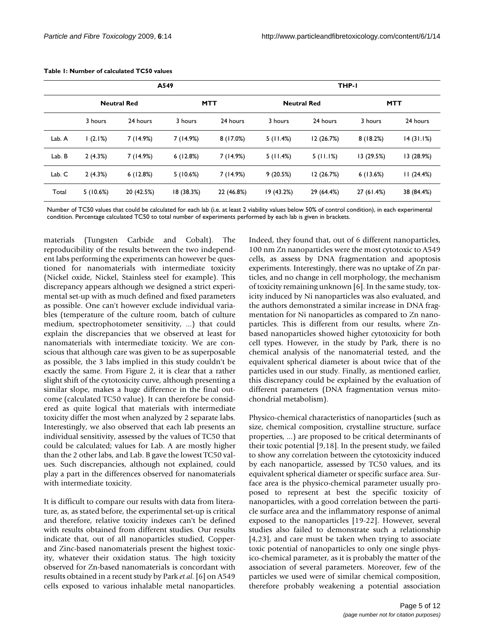|        | A549               |            |            |            | THP-I              |            |            |            |
|--------|--------------------|------------|------------|------------|--------------------|------------|------------|------------|
|        | <b>Neutral Red</b> |            | <b>MTT</b> |            | <b>Neutral Red</b> |            | <b>MTT</b> |            |
|        | 3 hours            | 24 hours   | 3 hours    | 24 hours   | 3 hours            | 24 hours   | 3 hours    | 24 hours   |
| Lab. A | 1(2.1%)            | 7(14.9%)   | 7 (14.9%)  | 8(17.0%)   | 5(11.4%)           | 12(26.7%)  | 8(18.2%)   | 14(31.1%)  |
| Lab. B | 2(4.3%)            | 7(14.9%)   | 6(12.8%)   | 7(14.9%)   | 5(11.4%)           | 5(11.1%)   | 13 (29.5%) | 13 (28.9%) |
| Lab. C | 2(4.3%)            | 6(12.8%)   | 5(10.6%)   | 7(14.9%)   | 9(20.5%)           | 12(26.7%)  | 6(13.6%)   | 11(24.4%)  |
| Total  | 5(10.6%)           | 20 (42.5%) | 18(38.3%)  | 22 (46.8%) | 19 (43.2%)         | 29 (64.4%) | 27 (61.4%) | 38 (84.4%) |

#### **Table 1: Number of calculated TC50 values**

Number of TC50 values that could be calculated for each lab (i.e. at least 2 viability values below 50% of control condition), in each experimental condition. Percentage calculated TC50 to total number of experiments performed by each lab is given in brackets.

materials (Tungsten Carbide and Cobalt). The reproducibility of the results between the two independent labs performing the experiments can however be questioned for nanomaterials with intermediate toxicity (Nickel oxide, Nickel, Stainless steel for example). This discrepancy appears although we designed a strict experimental set-up with as much defined and fixed parameters as possible. One can't however exclude individual variables (temperature of the culture room, batch of culture medium, spectrophotometer sensitivity, ...) that could explain the discrepancies that we observed at least for nanomaterials with intermediate toxicity. We are conscious that although care was given to be as superposable as possible, the 3 labs implied in this study couldn't be exactly the same. From Figure 2, it is clear that a rather slight shift of the cytotoxicity curve, although presenting a similar slope, makes a huge difference in the final outcome (calculated TC50 value). It can therefore be considered as quite logical that materials with intermediate toxicity differ the most when analyzed by 2 separate labs. Interestingly, we also observed that each lab presents an individual sensitivity, assessed by the values of TC50 that could be calculated; values for Lab. A are mostly higher than the 2 other labs, and Lab. B gave the lowest TC50 values. Such discrepancies, although not explained, could play a part in the differences observed for nanomaterials with intermediate toxicity.

It is difficult to compare our results with data from literature, as, as stated before, the experimental set-up is critical and therefore, relative toxicity indexes can't be defined with results obtained from different studies. Our results indicate that, out of all nanoparticles studied, Copperand Zinc-based nanomaterials present the highest toxicity, whatever their oxidation status. The high toxicity observed for Zn-based nanomaterials is concordant with results obtained in a recent study by Park *et al*. [6] on A549 cells exposed to various inhalable metal nanoparticles.

Indeed, they found that, out of 6 different nanoparticles, 100 nm Zn nanoparticles were the most cytotoxic to A549 cells, as assess by DNA fragmentation and apoptosis experiments. Interestingly, there was no uptake of Zn particles, and no change in cell morphology, the mechanism of toxicity remaining unknown [6]. In the same study, toxicity induced by Ni nanoparticles was also evaluated, and the authors demonstrated a similar increase in DNA fragmentation for Ni nanoparticles as compared to Zn nanoparticles. This is different from our results, where Znbased nanoparticles showed higher cytotoxicity for both cell types. However, in the study by Park, there is no chemical analysis of the nanomaterial tested, and the equivalent spherical diameter is about twice that of the particles used in our study. Finally, as mentioned earlier, this discrepancy could be explained by the evaluation of different parameters (DNA fragmentation versus mitochondrial metabolism).

Physico-chemical characteristics of nanoparticles (such as size, chemical composition, crystalline structure, surface properties, ...) are proposed to be critical determinants of their toxic potential [9,18]. In the present study, we failed to show any correlation between the cytotoxicity induced by each nanoparticle, assessed by TC50 values, and its equivalent spherical diameter or specific surface area. Surface area is the physico-chemical parameter usually proposed to represent at best the specific toxicity of nanoparticles, with a good correlation between the particle surface area and the inflammatory response of animal exposed to the nanoparticles [19-22]. However, several studies also failed to demonstrate such a relationship [4,23], and care must be taken when trying to associate toxic potential of nanoparticles to only one single physico-chemical parameter, as it is probably the matter of the association of several parameters. Moreover, few of the particles we used were of similar chemical composition, therefore probably weakening a potential association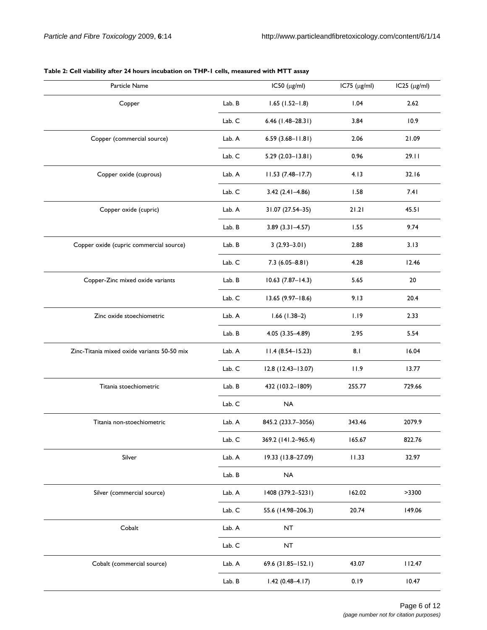| Particle Name                               |        | $IC50$ ( $\mu$ g/ml)  | $IC75$ ( $\mu$ g/ml) | $IC25$ ( $\mu$ g/ml) |
|---------------------------------------------|--------|-----------------------|----------------------|----------------------|
| Copper                                      | Lab. B | $1.65(1.52 - 1.8)$    | 1.04                 | 2.62                 |
|                                             | Lab. C | $6.46$ (1.48-28.31)   | 3.84                 | 10.9                 |
| Copper (commercial source)                  | Lab. A | $6.59(3.68 - 11.81)$  | 2.06                 | 21.09                |
|                                             | Lab. C | $5.29(2.03 - 13.81)$  | 0.96                 | 29.11                |
| Copper oxide (cuprous)                      | Lab. A | $11.53(7.48 - 17.7)$  | 4.13                 | 32.16                |
|                                             | Lab. C | $3.42(2.41 - 4.86)$   | 1.58                 | 7.41                 |
| Copper oxide (cupric)                       | Lab. A | 31.07 (27.54-35)      | 21.21                | 45.51                |
|                                             | Lab. B | $3.89$ (3.31-4.57)    | 1.55                 | 9.74                 |
| Copper oxide (cupric commercial source)     | Lab. B | $3(2.93 - 3.01)$      | 2.88                 | 3.13                 |
|                                             | Lab. C | $7.3(6.05 - 8.81)$    | 4.28                 | 12.46                |
| Copper-Zinc mixed oxide variants            | Lab. B | $10.63$ (7.87-14.3)   | 5.65                 | 20                   |
|                                             | Lab. C | $13.65(9.97 - 18.6)$  | 9.13                 | 20.4                 |
| Zinc oxide stoechiometric                   | Lab. A | $1.66(1.38-2)$        | 1.19                 | 2.33                 |
|                                             | Lab. B | $4.05(3.35 - 4.89)$   | 2.95                 | 5.54                 |
| Zinc-Titania mixed oxide variants 50-50 mix | Lab. A | $11.4(8.54 - 15.23)$  | 8.1                  | 16.04                |
|                                             | Lab. C | $12.8(12.43 - 13.07)$ | 11.9                 | 13.77                |
| Titania stoechiometric                      | Lab. B | 432 (103.2-1809)      | 255.77               | 729.66               |
|                                             | Lab. C | <b>NA</b>             |                      |                      |
| Titania non-stoechiometric                  | Lab. A | 845.2 (233.7-3056)    | 343.46               | 2079.9               |
|                                             | Lab. C | 369.2 (141.2-965.4)   | 165.67               | 822.76               |
| Silver                                      | Lab. A | 19.33 (13.8-27.09)    | 11.33                | 32.97                |
|                                             | Lab. B | <b>NA</b>             |                      |                      |
| Silver (commercial source)                  | Lab. A | 1408 (379.2-5231)     | 162.02               | >3300                |
|                                             | Lab. C | 55.6 (14.98-206.3)    | 20.74                | 149.06               |
| Cobalt                                      | Lab. A | NT                    |                      |                      |
|                                             | Lab. C | NT                    |                      |                      |
| Cobalt (commercial source)                  | Lab. A | 69.6 (31.85-152.1)    | 43.07                | 112.47               |
|                                             | Lab. B | $1.42(0.48 - 4.17)$   | 0.19                 | 10.47                |

# **Table 2: Cell viability after 24 hours incubation on THP-1 cells, measured with MTT assay**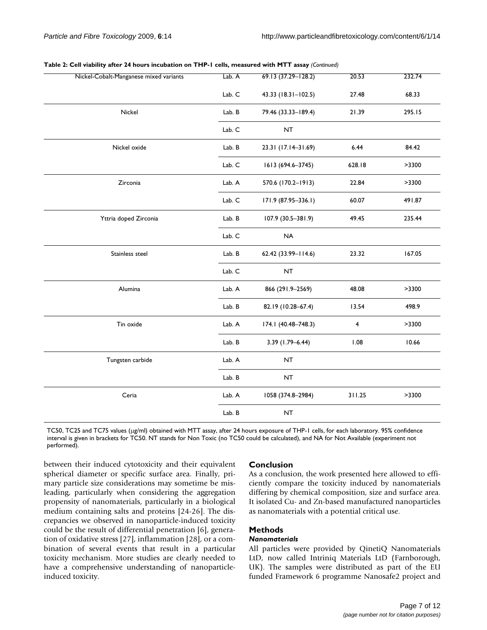| Nickel-Cobalt-Manganese mixed variants | Lab. A | 69.13 (37.29-128.2) | 20.53  | 232.74 |
|----------------------------------------|--------|---------------------|--------|--------|
|                                        | Lab. C | 43.33 (18.31-102.5) | 27.48  | 68.33  |
| Nickel                                 | Lab. B | 79.46 (33.33-189.4) | 21.39  | 295.15 |
|                                        | Lab. C | NT                  |        |        |
| Nickel oxide                           | Lab. B | 23.31 (17.14-31.69) | 6.44   | 84.42  |
|                                        | Lab. C | 1613 (694.6-3745)   | 628.18 | >3300  |
| Zirconia                               | Lab. A | 570.6 (170.2-1913)  | 22.84  | >3300  |
|                                        | Lab. C | 171.9 (87.95-336.1) | 60.07  | 491.87 |
| Yttria doped Zirconia                  | Lab. B | 107.9 (30.5-381.9)  | 49.45  | 235.44 |
|                                        | Lab. C | <b>NA</b>           |        |        |
| Stainless steel                        | Lab. B | 62.42 (33.99-114.6) | 23.32  | 167.05 |
|                                        | Lab. C | <b>NT</b>           |        |        |
| Alumina                                | Lab. A | 866 (291.9-2569)    | 48.08  | >3300  |
|                                        | Lab. B | 82.19 (10.28-67.4)  | 13.54  | 498.9  |
| Tin oxide                              | Lab. A | 174.1 (40.48-748.3) | 4      | >3300  |
|                                        | Lab. B | $3.39(1.79 - 6.44)$ | 1.08   | 10.66  |
| Tungsten carbide                       | Lab. A | NT                  |        |        |
|                                        | Lab. B | NT                  |        |        |
| Ceria                                  | Lab. A | 1058 (374.8-2984)   | 311.25 | >3300  |
|                                        | Lab. B | NT                  |        |        |

#### **Table 2: Cell viability after 24 hours incubation on THP-1 cells, measured with MTT assay** *(Continued)*

TC50, TC25 and TC75 values (μg/ml) obtained with MTT assay, after 24 hours exposure of THP-1 cells, for each laboratory. 95% confidence interval is given in brackets for TC50. NT stands for Non Toxic (no TC50 could be calculated), and NA for Not Available (experiment not performed).

between their induced cytotoxicity and their equivalent spherical diameter or specific surface area. Finally, primary particle size considerations may sometime be misleading, particularly when considering the aggregation propensity of nanomaterials, particularly in a biological medium containing salts and proteins [24-26]. The discrepancies we observed in nanoparticle-induced toxicity could be the result of differential penetration [6], generation of oxidative stress [27], inflammation [28], or a combination of several events that result in a particular toxicity mechanism. More studies are clearly needed to have a comprehensive understanding of nanoparticleinduced toxicity.

# **Conclusion**

As a conclusion, the work presented here allowed to efficiently compare the toxicity induced by nanomaterials differing by chemical composition, size and surface area. It isolated Cu- and Zn-based manufactured nanoparticles as nanomaterials with a potential critical use.

# **Methods**

# *Nanomaterials*

All particles were provided by QinetiQ Nanomaterials LtD, now called Intriniq Materials LtD (Farnborough, UK). The samples were distributed as part of the EU funded Framework 6 programme Nanosafe2 project and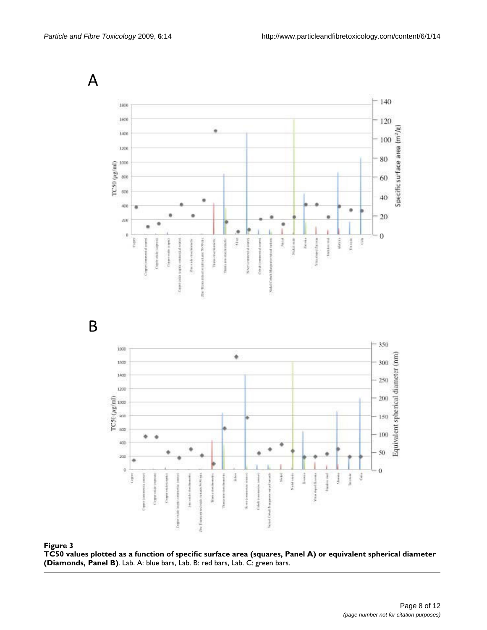$\mathsf{A}$  $-140$ 1800 1600  $-120$ Specific su face area (m<sup>2</sup>/g) 1400  $-100$ 1200 80 TC50 (µg/ml)  $1000$ 800 60 600 40  $\blacksquare$  $400$ ö  $20\,$  $\delta \lambda$  $\theta$  $\theta$ Marcus  $\tilde{\tilde{c}}$ Traveast ğ Sin 1 ï Suble Visioninged Zip Nikiti ž  $\overline{B}$  $-350$ 1800 ۰ Equivalent spherical diameter (nm) 1600 300 1400 250 1200  $\begin{array}{ll} \rm TC56 \, (\mu g / m) \\ \rm g & \rm g \\ \rm g & \rm g \end{array}$ 200 150 100 ä ٠  $400$ 50  $200$ ٠  $\circ$  $\theta$ Nickel. ŧ  $\frac{3}{2}$ 1  $\frac{1}{4}$ 

## TC50 values plotted as a function B) **Figure 3** of specific surface area (squares, Panel A) or equivalent spherical diameter (Diamonds, Panel

**TC50 values plotted as a function of specific surface area (squares, Panel A) or equivalent spherical diameter (Diamonds, Panel B)**. Lab. A: blue bars, Lab. B: red bars, Lab. C: green bars.

š

**Good** 

Weblat Ci

ž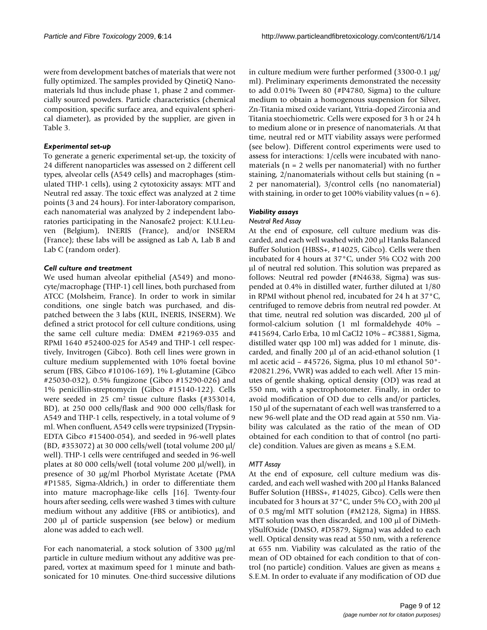were from development batches of materials that were not fully optimized. The samples provided by QinetiQ Nanomaterials ltd thus include phase 1, phase 2 and commercially sourced powders. Particle characteristics (chemical composition, specific surface area, and equivalent spherical diameter), as provided by the supplier, are given in Table 3.

# *Experimental set-up*

To generate a generic experimental set-up, the toxicity of 24 different nanoparticles was assessed on 2 different cell types, alveolar cells (A549 cells) and macrophages (stimulated THP-1 cells), using 2 cytotoxicity assays: MTT and Neutral red assay. The toxic effect was analyzed at 2 time points (3 and 24 hours). For inter-laboratory comparison, each nanomaterial was analyzed by 2 independent laboratories participating in the Nanosafe2 project: K.U.Leuven (Belgium), INERIS (France), and/or INSERM (France); these labs will be assigned as Lab A, Lab B and Lab C (random order).

# *Cell culture and treatment*

We used human alveolar epithelial (A549) and monocyte/macrophage (THP-1) cell lines, both purchased from ATCC (Molsheim, France). In order to work in similar conditions, one single batch was purchased, and dispatched between the 3 labs (KUL, INERIS, INSERM). We defined a strict protocol for cell culture conditions, using the same cell culture media: DMEM #21969-035 and RPMI 1640 #52400-025 for A549 and THP-1 cell respectively, Invitrogen (Gibco). Both cell lines were grown in culture medium supplemented with 10% foetal bovine serum (FBS, Gibco #10106-169), 1% L-glutamine (Gibco #25030-032), 0.5% fungizone (Gibco #15290-026) and 1% penicillin-streptomycin (Gibco #15140-122). Cells were seeded in 25 cm2 tissue culture flasks (#353014, BD), at 250 000 cells/flask and 900 000 cells/flask for A549 and THP-1 cells, respectively, in a total volume of 9 ml. When confluent, A549 cells were trypsinized (Trypsin-EDTA Gibco #15400-054), and seeded in 96-well plates (BD, #353072) at 30 000 cells/well (total volume 200 μl/ well). THP-1 cells were centrifuged and seeded in 96-well plates at 80 000 cells/well (total volume 200 μl/well), in presence of 30 μg/ml Phorbol Myristate Acetate (PMA #P1585, Sigma-Aldrich,) in order to differentiate them into mature macrophage-like cells [16]. Twenty-four hours after seeding, cells were washed 3 times with culture medium without any additive (FBS or antibiotics), and 200 μl of particle suspension (see below) or medium alone was added to each well.

For each nanomaterial, a stock solution of 3300 μg/ml particle in culture medium without any additive was prepared, vortex at maximum speed for 1 minute and bathsonicated for 10 minutes. One-third successive dilutions in culture medium were further performed (3300-0.1 μg/ ml). Preliminary experiments demonstrated the necessity to add 0.01% Tween 80 (#P4780, Sigma) to the culture medium to obtain a homogenous suspension for Silver, Zn-Titania mixed oxide variant, Yttria-doped Zirconia and Titania stoechiometric. Cells were exposed for 3 h or 24 h to medium alone or in presence of nanomaterials. At that time, neutral red or MTT viability assays were performed (see below). Different control experiments were used to assess for interactions: 1/cells were incubated with nanomaterials ( $n = 2$  wells per nanomaterial) with no further staining,  $2/n$ anomaterials without cells but staining (n = 2 per nanomaterial), 3/control cells (no nanomaterial) with staining, in order to get 100% viability values ( $n = 6$ ).

# *Viability assays*

## *Neutral Red Assay*

At the end of exposure, cell culture medium was discarded, and each well washed with 200 μl Hanks Balanced Buffer Solution (HBSS+, #14025, Gibco). Cells were then incubated for 4 hours at 37°C, under 5% CO2 with 200 μl of neutral red solution. This solution was prepared as follows: Neutral red powder (#N4638, Sigma) was suspended at 0.4% in distilled water, further diluted at 1/80 in RPMI without phenol red, incubated for 24 h at 37°C, centrifuged to remove debris from neutral red powder. At that time, neutral red solution was discarded, 200 μl of formol-calcium solution (1 ml formaldehyde 40% – #415694, Carlo Erba, 10 ml CaCl2 10% – #C3881, Sigma, distilled water qsp 100 ml) was added for 1 minute, discarded, and finally 200 μl of an acid-ethanol solution (1 ml acetic acid – #45726, Sigma, plus 10 ml ethanol 50°- #20821.296, VWR) was added to each well. After 15 minutes of gentle shaking, optical density (OD) was read at 550 nm, with a spectrophotometer. Finally, in order to avoid modification of OD due to cells and/or particles, 150 μl of the supernatant of each well was transferred to a new 96-well plate and the OD read again at 550 nm. Viability was calculated as the ratio of the mean of OD obtained for each condition to that of control (no particle) condition. Values are given as means  $\pm$  S.E.M.

# *MTT Assay*

At the end of exposure, cell culture medium was discarded, and each well washed with 200 μl Hanks Balanced Buffer Solution (HBSS+, #14025, Gibco). Cells were then incubated for 3 hours at  $37^{\circ}$ C, under 5% CO<sub>2</sub> with 200 µl of 0.5 mg/ml MTT solution (#M2128, Sigma) in HBSS. MTT solution was then discarded, and 100 μl of DiMethylSulfOxide (DMSO, #D5879, Sigma) was added to each well. Optical density was read at 550 nm, with a reference at 655 nm. Viability was calculated as the ratio of the mean of OD obtained for each condition to that of control (no particle) condition. Values are given as means  $\pm$ S.E.M. In order to evaluate if any modification of OD due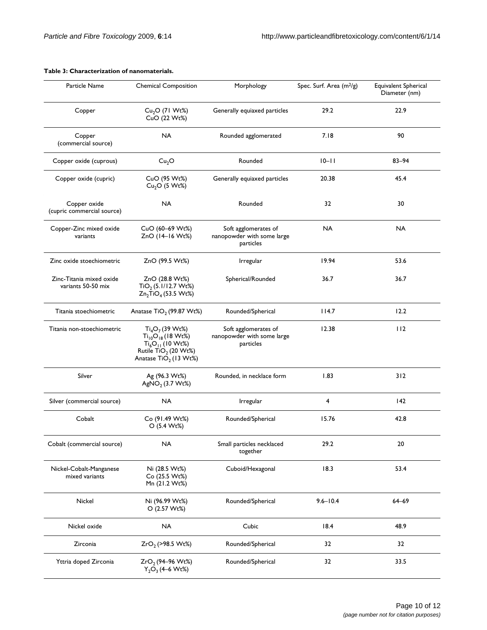| Particle Name                                  | <b>Chemical Composition</b>                                                                                                                      | Morphology                                                      | Spec. Surf. Area (m <sup>2</sup> /g) | Equivalent Spherical<br>Diameter (nm) |
|------------------------------------------------|--------------------------------------------------------------------------------------------------------------------------------------------------|-----------------------------------------------------------------|--------------------------------------|---------------------------------------|
| Copper                                         | $Cu2O$ (71 Wt%)<br>CuO (22 Wt%)                                                                                                                  | Generally equiaxed particles                                    | 29.2                                 | 22.9                                  |
| Copper<br>(commercial source)                  | <b>NA</b>                                                                                                                                        | Rounded agglomerated                                            | 7.18                                 | 90                                    |
| Copper oxide (cuprous)                         | Cu <sub>2</sub> O                                                                                                                                | Rounded                                                         | $10 - 11$                            | $83 - 94$                             |
| Copper oxide (cupric)                          | CuO (95 Wt%)<br>$Cu2O$ (5 Wt%)                                                                                                                   | Generally equiaxed particles                                    | 20.38                                | 45.4                                  |
| Copper oxide<br>(cupric commercial source)     | <b>NA</b>                                                                                                                                        | Rounded                                                         | 32                                   | 30                                    |
| Copper-Zinc mixed oxide<br>variants            | CuO (60-69 Wt%)<br>ZnO (14-16 Wt%)                                                                                                               | Soft agglomerates of<br>nanopowder with some large<br>particles | <b>NA</b>                            | <b>NA</b>                             |
| Zinc oxide stoechiometric                      | ZnO (99.5 Wt%)                                                                                                                                   | Irregular                                                       | 19.94                                | 53.6                                  |
| Zinc-Titania mixed oxide<br>variants 50-50 mix | ZnO (28.8 Wt%)<br>$TiO2$ (5.1/12.7 Wt%)<br>$Zn_2TiO_4$ (53.5 Wt%)                                                                                | Spherical/Rounded                                               | 36.7                                 | 36.7                                  |
| Titania stoechiometric                         | Anatase TiO <sub>2</sub> (99.87 Wt%)                                                                                                             | Rounded/Spherical                                               | 114.7                                | 12.2                                  |
| Titania non-stoechiometric                     | $Ti_4O_7$ (39 Wt%)<br>$Ti_{10}O_{18}$ (18 Wt%)<br>$Ti_6O_{11}$ (10 Wt%)<br>Rutile TiO <sub>2</sub> (20 Wt%)<br>Anatase TiO <sub>2</sub> (13 Wt%) | Soft agglomerates of<br>nanopowder with some large<br>particles | 12.38                                | 112                                   |
| Silver                                         | Ag (96.3 Wt%)<br>AgNO <sub>2</sub> (3.7 Wt%)                                                                                                     | Rounded, in necklace form                                       | 1.83                                 | 312                                   |
| Silver (commercial source)                     | <b>NA</b>                                                                                                                                        | Irregular                                                       | 4                                    | $ 42\rangle$                          |
| Cobalt                                         | Co (91.49 Wt%)<br>O (5.4 Wt%)                                                                                                                    | Rounded/Spherical                                               | 15.76                                | 42.8                                  |
| Cobalt (commercial source)                     | <b>NA</b>                                                                                                                                        | Small particles necklaced<br>together                           | 29.2                                 | $20\,$                                |
| Nickel-Cobalt-Manganese<br>mixed variants      | Ni (28.5 Wt%)<br>Co (25.5 Wt%)<br>Mn (21.2 Wt%)                                                                                                  | Cuboid/Hexagonal                                                | 18.3                                 | 53.4                                  |
| Nickel                                         | Ni (96.99 Wt%)<br>O (2.57 Wt%)                                                                                                                   | Rounded/Spherical                                               | $9.6 - 10.4$                         | $64 - 69$                             |
| Nickel oxide                                   | <b>NA</b>                                                                                                                                        | Cubic                                                           | 18.4                                 | 48.9                                  |
| Zirconia                                       | $ZrO2$ (>98.5 Wt%)                                                                                                                               | Rounded/Spherical                                               | 32                                   | 32                                    |
| Yttria doped Zirconia                          | $ZrO2$ (94–96 Wt%)<br>$Y_2O_3$ (4–6 Wt%)                                                                                                         | Rounded/Spherical                                               | 32                                   | 33.5                                  |

## **Table 3: Characterization of nanomaterials.**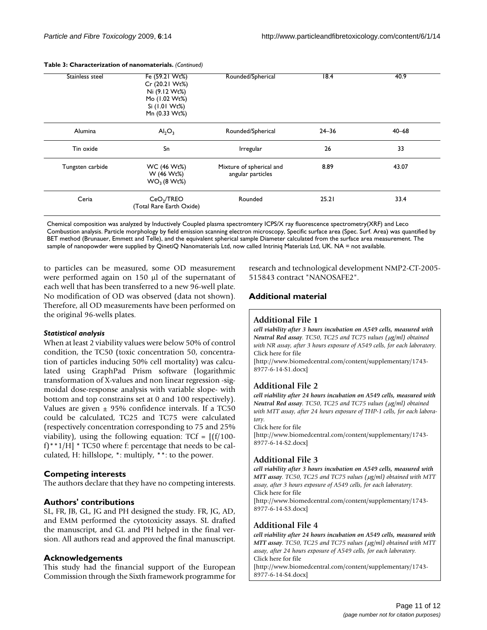| Stainless steel  | Fe (59.21 Wt%)<br>Cr (20.21 Wt%)<br>Ni (9.12 Wt%)<br>Mo (1.02 Wt%)<br>Si (1.01 Wt%)<br>Mn (0.33 Wt%) | Rounded/Spherical                             | 18.4      | 40.9      |
|------------------|------------------------------------------------------------------------------------------------------|-----------------------------------------------|-----------|-----------|
| Alumina          | $\mathsf{Al}_2\mathsf{O}_3$                                                                          | Rounded/Spherical                             | $24 - 36$ | $40 - 68$ |
| Tin oxide        | Sn                                                                                                   | Irregular                                     | 26        | 33        |
| Tungsten carbide | WC (46 Wt%)<br>W (46 Wt%)<br>WO <sub>3</sub> (8 Wt%)                                                 | Mixture of spherical and<br>angular particles | 8.89      | 43.07     |
| Ceria            | CeO <sub>2</sub> /TREO<br>(Total Rare Earth Oxide)                                                   | Rounded                                       | 25.21     | 33.4      |

#### **Table 3: Characterization of nanomaterials.** *(Continued)*

Chemical composition was analyzed by Inductively Coupled plasma spectromtery ICPS/X ray fluorescence spectrometry(XRF) and Leco Combustion analysis. Particle morphology by field emission scanning electron microscopy, Specific surface area (Spec. Surf. Area) was quantified by BET method (Brunauer, Emmett and Telle), and the equivalent spherical sample Diameter calculated from the surface area measurement. The sample of nanopowder were supplied by QinetiQ Nanomaterials Ltd, now called Intriniq Materials Ltd, UK. NA = not available.

to particles can be measured, some OD measurement were performed again on 150 μl of the supernatant of each well that has been transferred to a new 96-well plate. No modification of OD was observed (data not shown). Therefore, all OD measurements have been performed on the original 96-wells plates.

#### *Statistical analysis*

When at least 2 viability values were below 50% of control condition, the TC50 (toxic concentration 50, concentration of particles inducing 50% cell mortality) was calculated using GraphPad Prism software (logarithmic transformation of X-values and non linear regression -sigmoidal dose-response analysis with variable slope- with bottom and top constrains set at 0 and 100 respectively). Values are given  $\pm$  95% confidence intervals. If a TC50 could be calculated, TC25 and TC75 were calculated (respectively concentration corresponding to 75 and 25% viability), using the following equation:  $TCF = [(f/100$ f)\*\*1/H] \* TC50 where f: percentage that needs to be calculated, H: hillslope, \*: multiply, \*\*: to the power.

## **Competing interests**

The authors declare that they have no competing interests.

## **Authors' contributions**

SL, FR, JB, GL, JG and PH designed the study. FR, JG, AD, and EMM performed the cytotoxicity assays. SL drafted the manuscript, and GL and PH helped in the final version. All authors read and approved the final manuscript.

## **Acknowledgements**

This study had the financial support of the European Commission through the Sixth framework programme for research and technological development NMP2-CT-2005- 515843 contract "NANOSAFE2".

# **Additional material**

## **Additional File 1**

*cell viability after 3 hours incubation on A549 cells, measured with Neutral Red assay. TC50, TC25 and TC75 values (*μ*g/ml) obtained with NR assay, after 3 hours exposure of A549 cells, for each laboratory.* Click here for file

[\[http://www.biomedcentral.com/content/supplementary/1743-](http://www.biomedcentral.com/content/supplementary/1743-8977-6-14-S1.docx) 8977-6-14-S1.docx]

## **Additional File 2**

*cell viability after 24 hours incubation on A549 cells, measured with Neutral Red assay. TC50, TC25 and TC75 values (*μ*g/ml) obtained with MTT assay, after 24 hours exposure of THP-1 cells, for each laboratory.*

#### Click here for file

[\[http://www.biomedcentral.com/content/supplementary/1743-](http://www.biomedcentral.com/content/supplementary/1743-8977-6-14-S2.docx) 8977-6-14-S2.docx]

## **Additional File 3**

*cell viability after 3 hours incubation on A549 cells, measured with MTT assay. TC50, TC25 and TC75 values (*μ*g/ml) obtained with MTT assay, after 3 hours exposure of A549 cells, for each laboratory.* Click here for file [\[http://www.biomedcentral.com/content/supplementary/1743-](http://www.biomedcentral.com/content/supplementary/1743-8977-6-14-S3.docx) 8977-6-14-S3.docx]

#### **Additional File 4**

*cell viability after 24 hours incubation on A549 cells, measured with MTT assay. TC50, TC25 and TC75 values (*μ*g/ml) obtained with MTT assay, after 24 hours exposure of A549 cells, for each laboratory.* Click here for file

[\[http://www.biomedcentral.com/content/supplementary/1743-](http://www.biomedcentral.com/content/supplementary/1743-8977-6-14-S4.docx) 8977-6-14-S4.docx]